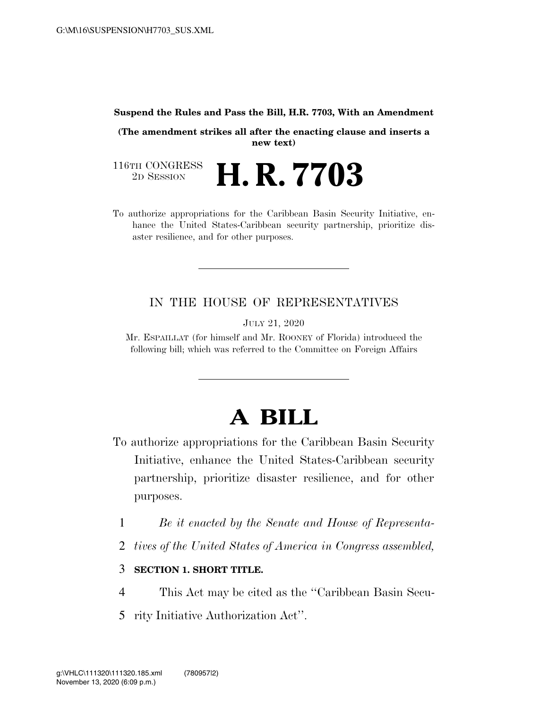#### **Suspend the Rules and Pass the Bill, H.R. 7703, With an Amendment**

**(The amendment strikes all after the enacting clause and inserts a new text)** 

116TH CONGRESS<br>2D SESSION 2D SESSION **H. R. 7703** 

To authorize appropriations for the Caribbean Basin Security Initiative, enhance the United States-Caribbean security partnership, prioritize disaster resilience, and for other purposes.

### IN THE HOUSE OF REPRESENTATIVES

JULY 21, 2020

Mr. ESPAILLAT (for himself and Mr. ROONEY of Florida) introduced the following bill; which was referred to the Committee on Foreign Affairs

# **A BILL**

- To authorize appropriations for the Caribbean Basin Security Initiative, enhance the United States-Caribbean security partnership, prioritize disaster resilience, and for other purposes.
	- 1 *Be it enacted by the Senate and House of Representa-*
	- 2 *tives of the United States of America in Congress assembled,*

### 3 **SECTION 1. SHORT TITLE.**

- 4 This Act may be cited as the ''Caribbean Basin Secu-
- 5 rity Initiative Authorization Act''.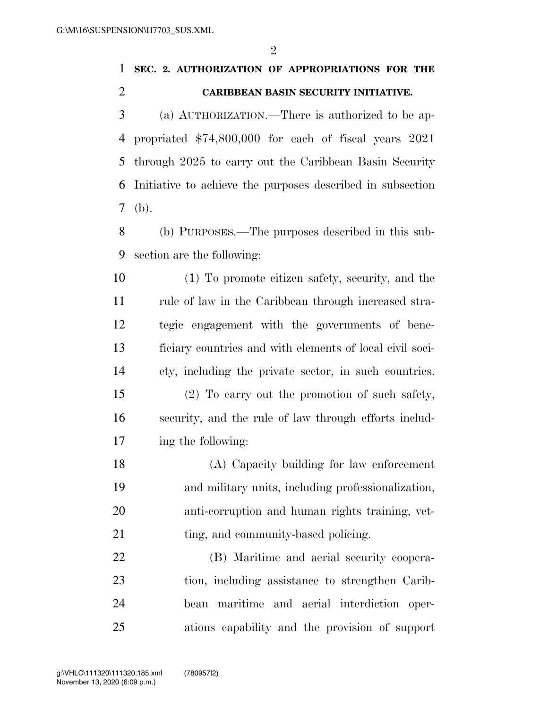$\mathfrak{D}$ 

## **SEC. 2. AUTHORIZATION OF APPROPRIATIONS FOR THE CARIBBEAN BASIN SECURITY INITIATIVE.**

 (a) AUTHORIZATION.—There is authorized to be ap- propriated \$74,800,000 for each of fiscal years 2021 through 2025 to carry out the Caribbean Basin Security Initiative to achieve the purposes described in subsection (b).

 (b) PURPOSES.—The purposes described in this sub-section are the following:

 (1) To promote citizen safety, security, and the rule of law in the Caribbean through increased stra- tegic engagement with the governments of bene- ficiary countries and with elements of local civil soci-ety, including the private sector, in such countries.

 (2) To carry out the promotion of such safety, security, and the rule of law through efforts includ-ing the following:

 (A) Capacity building for law enforcement and military units, including professionalization, anti-corruption and human rights training, vet-21 ting, and community-based policing.

 (B) Maritime and aerial security coopera- tion, including assistance to strengthen Carib- bean maritime and aerial interdiction oper-ations capability and the provision of support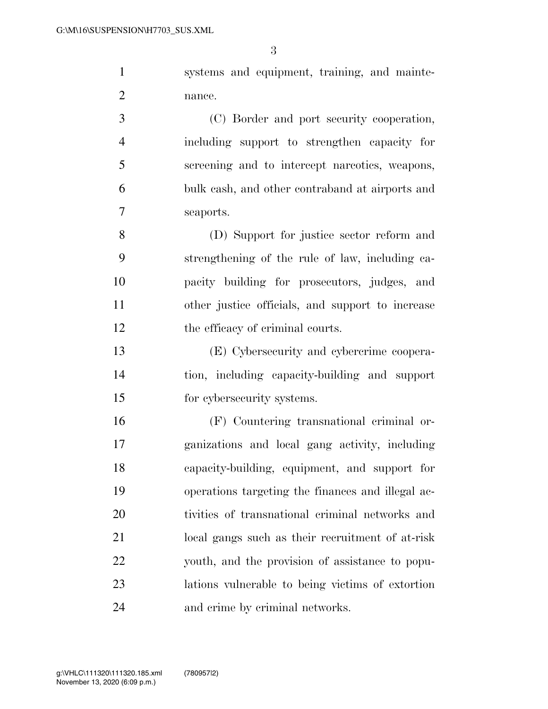systems and equipment, training, and mainte-nance.

 (C) Border and port security cooperation, including support to strengthen capacity for screening and to intercept narcotics, weapons, bulk cash, and other contraband at airports and seaports.

 (D) Support for justice sector reform and strengthening of the rule of law, including ca- pacity building for prosecutors, judges, and other justice officials, and support to increase 12 the efficacy of criminal courts.

 (E) Cybersecurity and cybercrime coopera- tion, including capacity-building and support for cybersecurity systems.

 (F) Countering transnational criminal or- ganizations and local gang activity, including capacity-building, equipment, and support for operations targeting the finances and illegal ac- tivities of transnational criminal networks and local gangs such as their recruitment of at-risk youth, and the provision of assistance to popu- lations vulnerable to being victims of extortion and crime by criminal networks.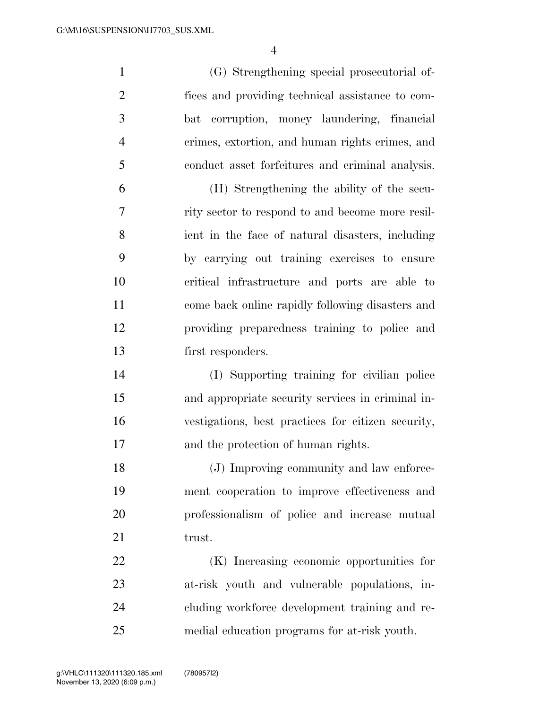(G) Strengthening special prosecutorial of- fices and providing technical assistance to com- bat corruption, money laundering, financial crimes, extortion, and human rights crimes, and conduct asset forfeitures and criminal analysis. (H) Strengthening the ability of the secu- rity sector to respond to and become more resil- ient in the face of natural disasters, including by carrying out training exercises to ensure critical infrastructure and ports are able to come back online rapidly following disasters and providing preparedness training to police and first responders. (I) Supporting training for civilian police and appropriate security services in criminal in- vestigations, best practices for citizen security, and the protection of human rights. (J) Improving community and law enforce- ment cooperation to improve effectiveness and professionalism of police and increase mutual 21 trust. (K) Increasing economic opportunities for at-risk youth and vulnerable populations, in-cluding workforce development training and re-

medial education programs for at-risk youth.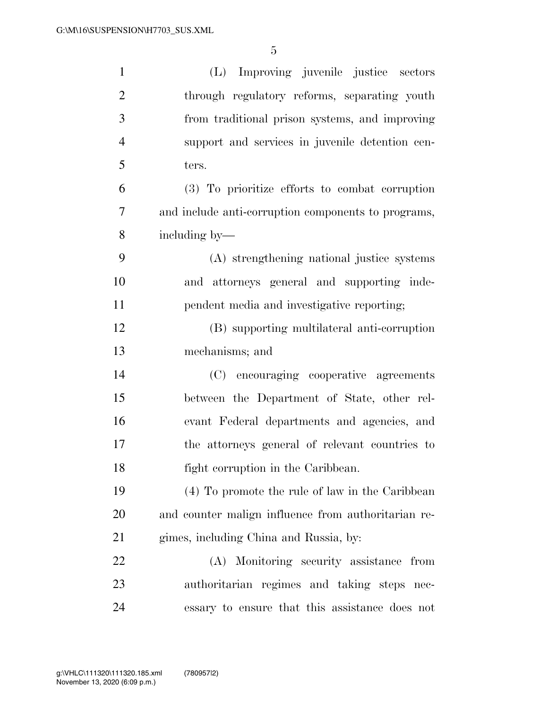| $\mathbf{1}$   | (L) Improving juvenile justice sectors              |
|----------------|-----------------------------------------------------|
| $\overline{2}$ | through regulatory reforms, separating youth        |
| 3              | from traditional prison systems, and improving      |
| $\overline{4}$ | support and services in juvenile detention cen-     |
| 5              | ters.                                               |
| 6              | (3) To prioritize efforts to combat corruption      |
| 7              | and include anti-corruption components to programs, |
| 8              | including by—                                       |
| 9              | (A) strengthening national justice systems          |
| 10             | and attorneys general and supporting inde-          |
| 11             | pendent media and investigative reporting;          |
| 12             | (B) supporting multilateral anti-corruption         |
| 13             | mechanisms; and                                     |
| 14             | (C) encouraging cooperative agreements              |
| 15             | between the Department of State, other rel-         |
| 16             | evant Federal departments and agencies, and         |
| 17             | the attorneys general of relevant countries to      |
| 18             | fight corruption in the Caribbean.                  |
| 19             | (4) To promote the rule of law in the Caribbean     |
| 20             | and counter malign influence from authoritarian re- |
| 21             | gimes, including China and Russia, by:              |
| 22             | (A) Monitoring security assistance from             |
| 23             | authoritarian regimes and taking steps nec-         |
| 24             | essary to ensure that this assistance does not      |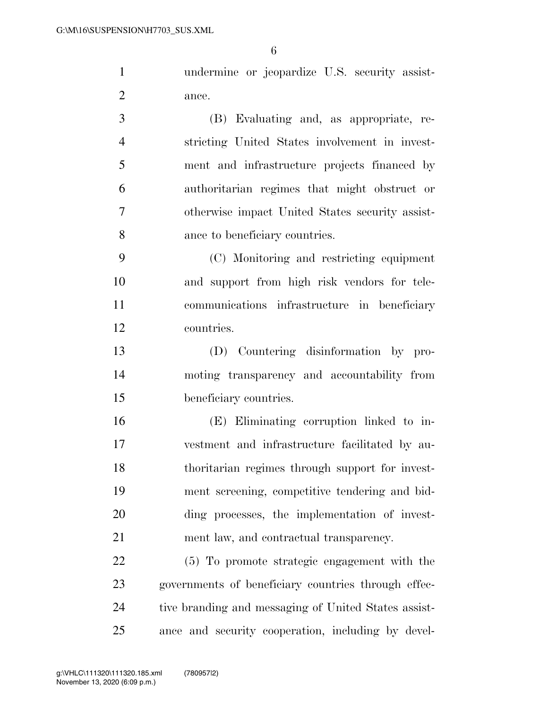undermine or jeopardize U.S. security assist-ance.

 (B) Evaluating and, as appropriate, re- stricting United States involvement in invest- ment and infrastructure projects financed by authoritarian regimes that might obstruct or otherwise impact United States security assist-ance to beneficiary countries.

 (C) Monitoring and restricting equipment and support from high risk vendors for tele- communications infrastructure in beneficiary countries.

 (D) Countering disinformation by pro- moting transparency and accountability from beneficiary countries.

 (E) Eliminating corruption linked to in- vestment and infrastructure facilitated by au- thoritarian regimes through support for invest- ment screening, competitive tendering and bid- ding processes, the implementation of invest-ment law, and contractual transparency.

 (5) To promote strategic engagement with the governments of beneficiary countries through effec- tive branding and messaging of United States assist-ance and security cooperation, including by devel-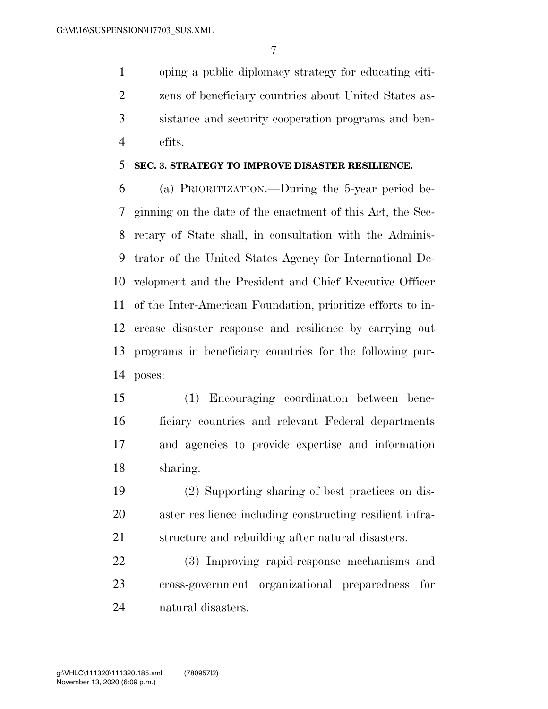oping a public diplomacy strategy for educating citi- zens of beneficiary countries about United States as- sistance and security cooperation programs and ben-efits.

#### **SEC. 3. STRATEGY TO IMPROVE DISASTER RESILIENCE.**

 (a) PRIORITIZATION.—During the 5-year period be- ginning on the date of the enactment of this Act, the Sec- retary of State shall, in consultation with the Adminis- trator of the United States Agency for International De- velopment and the President and Chief Executive Officer of the Inter-American Foundation, prioritize efforts to in- crease disaster response and resilience by carrying out programs in beneficiary countries for the following pur-poses:

 (1) Encouraging coordination between bene- ficiary countries and relevant Federal departments and agencies to provide expertise and information sharing.

 (2) Supporting sharing of best practices on dis- aster resilience including constructing resilient infra-structure and rebuilding after natural disasters.

 (3) Improving rapid-response mechanisms and cross-government organizational preparedness for natural disasters.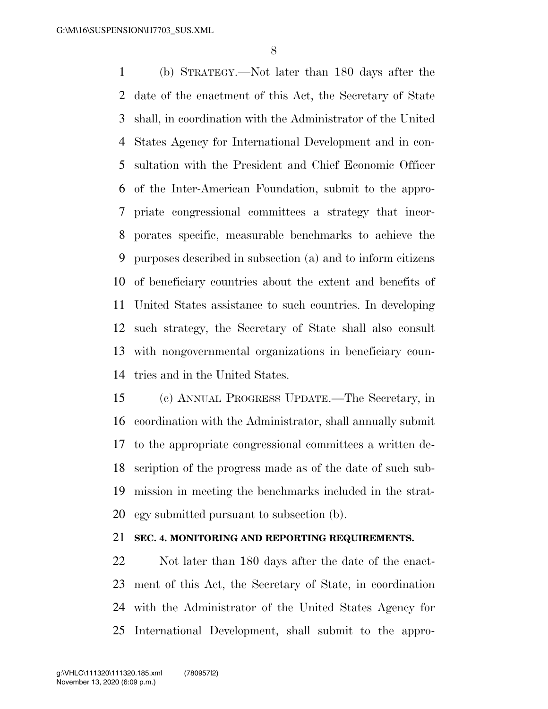(b) STRATEGY.—Not later than 180 days after the date of the enactment of this Act, the Secretary of State shall, in coordination with the Administrator of the United States Agency for International Development and in con- sultation with the President and Chief Economic Officer of the Inter-American Foundation, submit to the appro- priate congressional committees a strategy that incor- porates specific, measurable benchmarks to achieve the purposes described in subsection (a) and to inform citizens of beneficiary countries about the extent and benefits of United States assistance to such countries. In developing such strategy, the Secretary of State shall also consult with nongovernmental organizations in beneficiary coun-tries and in the United States.

 (c) ANNUAL PROGRESS UPDATE.—The Secretary, in coordination with the Administrator, shall annually submit to the appropriate congressional committees a written de- scription of the progress made as of the date of such sub- mission in meeting the benchmarks included in the strat-egy submitted pursuant to subsection (b).

### **SEC. 4. MONITORING AND REPORTING REQUIREMENTS.**

 Not later than 180 days after the date of the enact- ment of this Act, the Secretary of State, in coordination with the Administrator of the United States Agency for International Development, shall submit to the appro-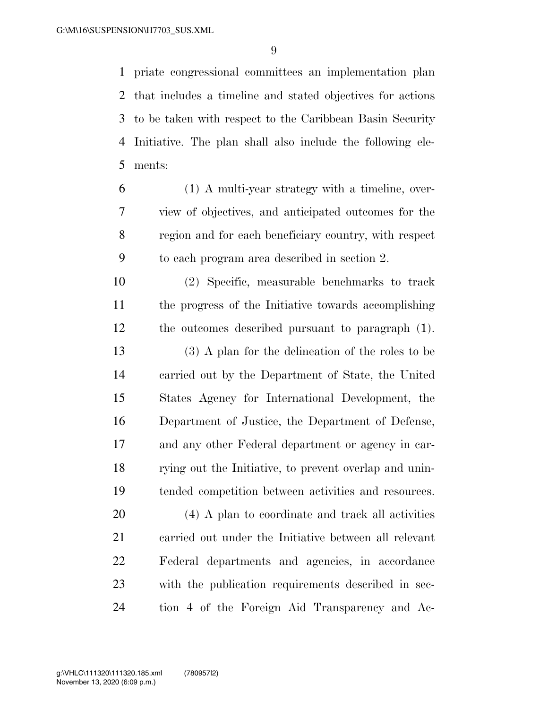priate congressional committees an implementation plan that includes a timeline and stated objectives for actions to be taken with respect to the Caribbean Basin Security Initiative. The plan shall also include the following ele-ments:

 (1) A multi-year strategy with a timeline, over- view of objectives, and anticipated outcomes for the region and for each beneficiary country, with respect to each program area described in section 2.

 (2) Specific, measurable benchmarks to track the progress of the Initiative towards accomplishing the outcomes described pursuant to paragraph (1). (3) A plan for the delineation of the roles to be

 carried out by the Department of State, the United States Agency for International Development, the Department of Justice, the Department of Defense, and any other Federal department or agency in car- rying out the Initiative, to prevent overlap and unin-tended competition between activities and resources.

 (4) A plan to coordinate and track all activities carried out under the Initiative between all relevant Federal departments and agencies, in accordance with the publication requirements described in sec-tion 4 of the Foreign Aid Transparency and Ac-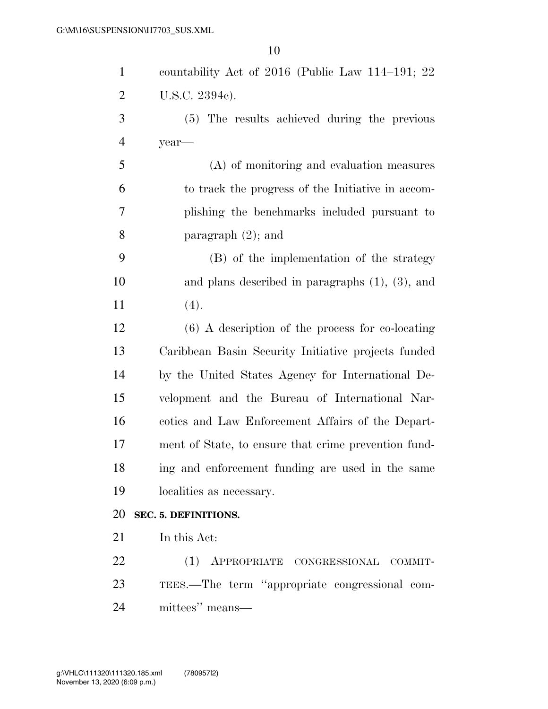| $\mathbf{1}$   | countability Act of $2016$ (Public Law 114–191; 22)   |
|----------------|-------------------------------------------------------|
| $\overline{2}$ | U.S.C. 2394c).                                        |
| 3              | (5) The results achieved during the previous          |
| $\overline{4}$ | year—                                                 |
| 5              | (A) of monitoring and evaluation measures             |
| 6              | to track the progress of the Initiative in accom-     |
| 7              | plishing the benchmarks included pursuant to          |
| 8              | paragraph $(2)$ ; and                                 |
| 9              | (B) of the implementation of the strategy             |
| 10             | and plans described in paragraphs $(1)$ , $(3)$ , and |
| 11             | (4).                                                  |
| 12             | $(6)$ A description of the process for co-locating    |
| 13             | Caribbean Basin Security Initiative projects funded   |
| 14             | by the United States Agency for International De-     |
| 15             | velopment and the Bureau of International Nar-        |
| 16             | coties and Law Enforcement Affairs of the Depart-     |
| 17             | ment of State, to ensure that crime prevention fund-  |
| 18             | ing and enforcement funding are used in the same      |
| 19             | localities as necessary.                              |
| 20             | SEC. 5. DEFINITIONS.                                  |
| 21             | In this Act:                                          |
| 22             | APPROPRIATE CONGRESSIONAL COMMIT-<br>(1)              |
| 23             | TEES.—The term "appropriate congressional com-        |
| 24             | mittees" means—                                       |
|                |                                                       |